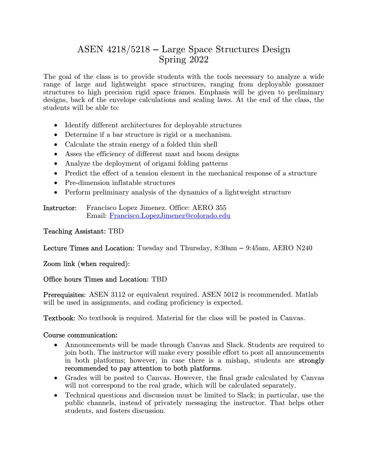# ASEN 4218/5218 – Large Space Structures Design Spring 2022

The goal of the class is to provide students with the tools necessary to analyze a wide range of large and lightweight space structures, ranging from deployable gossamer structures to high precision rigid space frames. Emphasis will be given to preliminary designs, back of the envelope calculations and scaling laws. At the end of the class, the students will be able to:

- Identify different architectures for deployable structures
- Determine if a bar structure is rigid or a mechanism.
- Calculate the strain energy of a folded thin shell
- Asses the efficiency of different mast and boom designs
- Analyze the deployment of origami folding patterns
- Predict the effect of a tension element in the mechanical response of a structure
- Pre-dimension inflatable structures
- Perform preliminary analysis of the dynamics of a lightweight structure

Instructor: Francisco Lopez Jimenez. Office: AERO 355 Email: Francisco.LopezJimenez@colorado.edu

Teaching Assistant: TBD

Lecture Times and Location: Tuesday and Thursday, 8:30am – 9:45am, AERO N240

Zoom link (when required):

#### Office hours Times and Location: TBD

Prerequisites: ASEN 3112 or equivalent required. ASEN 5012 is recommended. Matlab will be used in assignments, and coding proficiency is expected.

Textbook: No textbook is required. Material for the class will be posted in Canvas.

### Course communication:

- Announcements will be made through Canvas and Slack. Students are required to join both. The instructor will make every possible effort to post all announcements in both platforms; however, in case there is a mishap, students are strongly recommended to pay attention to both platforms.
- Grades will be posted to Canvas. However, the final grade calculated by Canvas will not correspond to the real grade, which will be calculated separately.
- Technical questions and discussion must be limited to Slack; in particular, use the public channels, instead of privately messaging the instructor. That helps other students, and fosters discussion.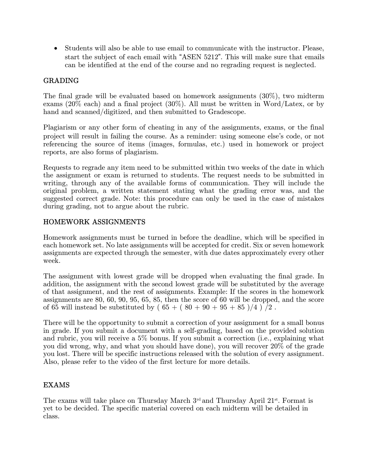Students will also be able to use email to communicate with the instructor. Please, start the subject of each email with "ASEN 5212". This will make sure that emails can be identified at the end of the course and no regrading request is neglected.

### GRADING

The final grade will be evaluated based on homework assignments (30%), two midterm exams (20% each) and a final project (30%). All must be written in Word/Latex, or by hand and scanned/digitized, and then submitted to Gradescope.

Plagiarism or any other form of cheating in any of the assignments, exams, or the final project will result in failing the course. As a reminder: using someone else's code, or not referencing the source of items (images, formulas, etc.) used in homework or project reports, are also forms of plagiarism.

Requests to regrade any item need to be submitted within two weeks of the date in which the assignment or exam is returned to students. The request needs to be submitted in writing, through any of the available forms of communication. They will include the original problem, a written statement stating what the grading error was, and the suggested correct grade. Note: this procedure can only be used in the case of mistakes during grading, not to argue about the rubric.

#### HOMEWORK ASSIGNMENTS

Homework assignments must be turned in before the deadline, which will be specified in each homework set. No late assignments will be accepted for credit. Six or seven homework assignments are expected through the semester, with due dates approximately every other week.

The assignment with lowest grade will be dropped when evaluating the final grade. In addition, the assignment with the second lowest grade will be substituted by the average of that assignment, and the rest of assignments. Example: If the scores in the homework assignments are 80, 60, 90, 95, 65, 85, then the score of 60 will be dropped, and the score of 65 will instead be substituted by  $(65 + (80 + 90 + 95 + 85)/4)/2$ .

There will be the opportunity to submit a correction of your assignment for a small bonus in grade. If you submit a document with a self-grading, based on the provided solution and rubric, you will receive a 5% bonus. If you submit a correction (i.e., explaining what you did wrong, why, and what you should have done), you will recover 20% of the grade you lost. There will be specific instructions released with the solution of every assignment. Also, please refer to the video of the first lecture for more details.

### EXAMS

The exams will take place on Thursday March 3rd and Thursday April 21st. Format is yet to be decided. The specific material covered on each midterm will be detailed in class.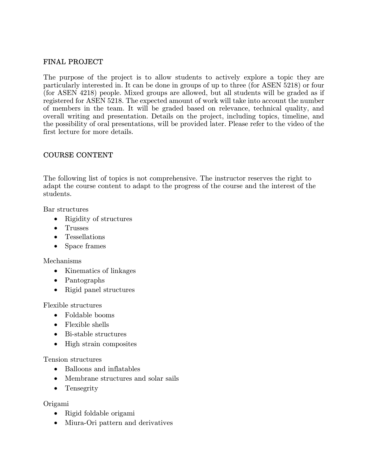### FINAL PROJECT

The purpose of the project is to allow students to actively explore a topic they are particularly interested in. It can be done in groups of up to three (for ASEN 5218) or four (for ASEN 4218) people. Mixed groups are allowed, but all students will be graded as if registered for ASEN 5218. The expected amount of work will take into account the number of members in the team. It will be graded based on relevance, technical quality, and overall writing and presentation. Details on the project, including topics, timeline, and the possibility of oral presentations, will be provided later. Please refer to the video of the first lecture for more details.

### COURSE CONTENT

The following list of topics is not comprehensive. The instructor reserves the right to adapt the course content to adapt to the progress of the course and the interest of the students.

Bar structures

- Rigidity of structures
- Trusses
- Tessellations
- Space frames

Mechanisms

- Kinematics of linkages
- Pantographs
- Rigid panel structures

Flexible structures

- Foldable booms
- Flexible shells
- Bi-stable structures
- High strain composites

#### Tension structures

- Balloons and inflatables
- Membrane structures and solar sails
- Tensegrity

#### Origami

- Rigid foldable origami
- Miura-Ori pattern and derivatives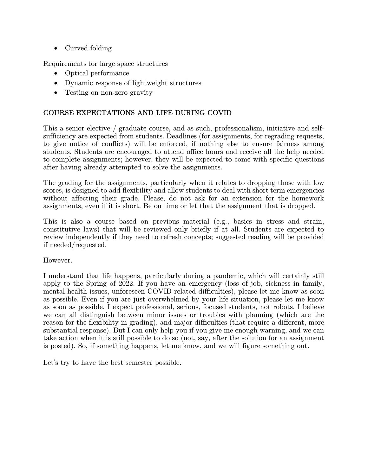• Curved folding

Requirements for large space structures

- Optical performance
- Dynamic response of lightweight structures
- Testing on non-zero gravity

## COURSE EXPECTATIONS AND LIFE DURING COVID

This a senior elective / graduate course, and as such, professionalism, initiative and selfsufficiency are expected from students. Deadlines (for assignments, for regrading requests, to give notice of conflicts) will be enforced, if nothing else to ensure fairness among students. Students are encouraged to attend office hours and receive all the help needed to complete assignments; however, they will be expected to come with specific questions after having already attempted to solve the assignments.

The grading for the assignments, particularly when it relates to dropping those with low scores, is designed to add flexibility and allow students to deal with short term emergencies without affecting their grade. Please, do not ask for an extension for the homework assignments, even if it is short. Be on time or let that the assignment that is dropped.

This is also a course based on previous material (e.g., basics in stress and strain, constitutive laws) that will be reviewed only briefly if at all. Students are expected to review independently if they need to refresh concepts; suggested reading will be provided if needed/requested.

However.

I understand that life happens, particularly during a pandemic, which will certainly still apply to the Spring of 2022. If you have an emergency (loss of job, sickness in family, mental health issues, unforeseen COVID related difficulties), please let me know as soon as possible. Even if you are just overwhelmed by your life situation, please let me know as soon as possible. I expect professional, serious, focused students, not robots. I believe we can all distinguish between minor issues or troubles with planning (which are the reason for the flexibility in grading), and major difficulties (that require a different, more substantial response). But I can only help you if you give me enough warning, and we can take action when it is still possible to do so (not, say, after the solution for an assignment is posted). So, if something happens, let me know, and we will figure something out.

Let's try to have the best semester possible.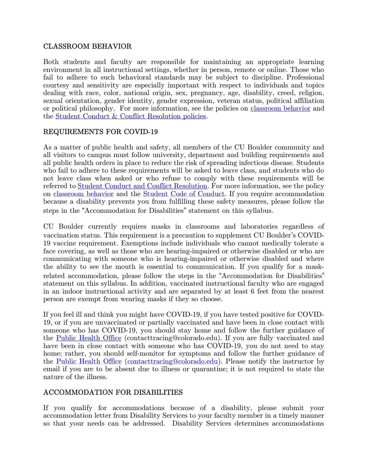### CLASSROOM BEHAVIOR

Both students and faculty are responsible for maintaining an appropriate learning environment in all instructional settings, whether in person, remote or online. Those who fail to adhere to such behavioral standards may be subject to discipline. Professional courtesy and sensitivity are especially important with respect to individuals and topics dealing with race, color, national origin, sex, pregnancy, age, disability, creed, religion, sexual orientation, gender identity, gender expression, veteran status, political affiliation or political philosophy. For more information, see the policies on classroom behavior and the Student Conduct & Conflict Resolution policies.

### REQUIREMENTS FOR COVID-19

As a matter of public health and safety, all members of the CU Boulder community and all visitors to campus must follow university, department and building requirements and all public health orders in place to reduce the risk of spreading infectious disease. Students who fail to adhere to these requirements will be asked to leave class, and students who do not leave class when asked or who refuse to comply with these requirements will be referred to Student Conduct and Conflict Resolution. For more information, see the policy on classroom behavior and the Student Code of Conduct. If you require accommodation because a disability prevents you from fulfilling these safety measures, please follow the steps in the "Accommodation for Disabilities" statement on this syllabus.

CU Boulder currently requires masks in classrooms and laboratories regardless of vaccination status. This requirement is a precaution to supplement CU Boulder's COVID-19 vaccine requirement. Exemptions include individuals who cannot medically tolerate a face covering, as well as those who are hearing-impaired or otherwise disabled or who are communicating with someone who is hearing-impaired or otherwise disabled and where the ability to see the mouth is essential to communication. If you qualify for a maskrelated accommodation, please follow the steps in the "Accommodation for Disabilities" statement on this syllabus. In addition, vaccinated instructional faculty who are engaged in an indoor instructional activity and are separated by at least 6 feet from the nearest person are exempt from wearing masks if they so choose.

If you feel ill and think you might have COVID-19, if you have tested positive for COVID-19, or if you are unvaccinated or partially vaccinated and have been in close contact with someone who has COVID-19, you should stay home and follow the further guidance of the Public Health Office (contacttracing@colorado.edu). If you are fully vaccinated and have been in close contact with someone who has COVID-19, you do not need to stay home; rather, you should self-monitor for symptoms and follow the further guidance of the Public Health Office (contacttracing@colorado.edu). Please notify the instructor by email if you are to be absent due to illness or quarantine; it is not required to state the nature of the illness.

### ACCOMMODATION FOR DISABILITIES

If you qualify for accommodations because of a disability, please submit your accommodation letter from Disability Services to your faculty member in a timely manner so that your needs can be addressed. Disability Services determines accommodations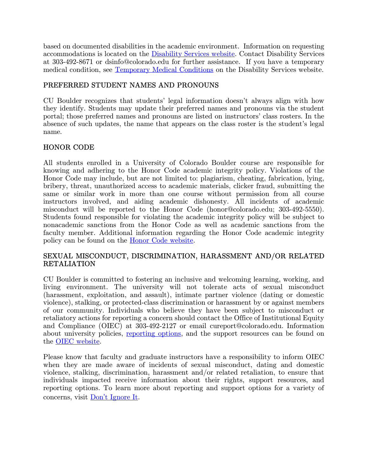based on documented disabilities in the academic environment. Information on requesting accommodations is located on the Disability Services website. Contact Disability Services at 303-492-8671 or dsinfo@colorado.edu for further assistance. If you have a temporary medical condition, see Temporary Medical Conditions on the Disability Services website.

# PREFERRED STUDENT NAMES AND PRONOUNS

CU Boulder recognizes that students' legal information doesn't always align with how they identify. Students may update their preferred names and pronouns via the student portal; those preferred names and pronouns are listed on instructors' class rosters. In the absence of such updates, the name that appears on the class roster is the student's legal name.

# HONOR CODE

All students enrolled in a University of Colorado Boulder course are responsible for knowing and adhering to the Honor Code academic integrity policy. Violations of the Honor Code may include, but are not limited to: plagiarism, cheating, fabrication, lying, bribery, threat, unauthorized access to academic materials, clicker fraud, submitting the same or similar work in more than one course without permission from all course instructors involved, and aiding academic dishonesty. All incidents of academic misconduct will be reported to the Honor Code (honor@colorado.edu; 303-492-5550). Students found responsible for violating the academic integrity policy will be subject to nonacademic sanctions from the Honor Code as well as academic sanctions from the faculty member. Additional information regarding the Honor Code academic integrity policy can be found on the Honor Code website.

### SEXUAL MISCONDUCT, DISCRIMINATION, HARASSMENT AND/OR RELATED RETALIATION

CU Boulder is committed to fostering an inclusive and welcoming learning, working, and living environment. The university will not tolerate acts of sexual misconduct (harassment, exploitation, and assault), intimate partner violence (dating or domestic violence), stalking, or protected-class discrimination or harassment by or against members of our community. Individuals who believe they have been subject to misconduct or retaliatory actions for reporting a concern should contact the Office of Institutional Equity and Compliance (OIEC) at 303-492-2127 or email cureport@colorado.edu. Information about university policies, reporting options, and the support resources can be found on the OIEC website.

Please know that faculty and graduate instructors have a responsibility to inform OIEC when they are made aware of incidents of sexual misconduct, dating and domestic violence, stalking, discrimination, harassment and/or related retaliation, to ensure that individuals impacted receive information about their rights, support resources, and reporting options. To learn more about reporting and support options for a variety of concerns, visit Don't Ignore It.